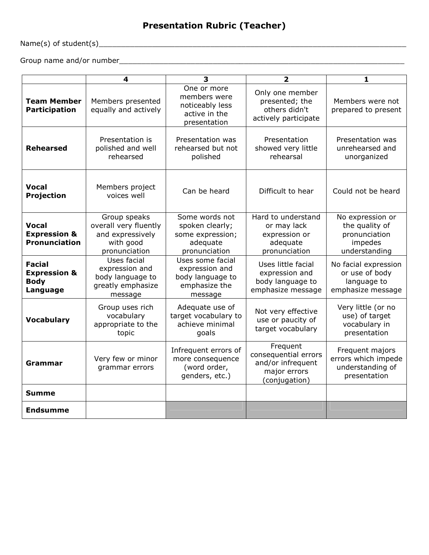## Presentation Rubric (Teacher)

Name(s) of student(s)\_\_\_\_\_\_\_\_\_\_\_\_\_\_\_\_\_\_\_\_\_\_\_\_\_\_\_\_\_\_\_\_\_\_\_\_\_\_\_\_\_\_\_\_\_\_\_\_\_\_\_\_\_\_\_\_\_\_\_\_\_\_\_\_\_\_\_\_\_

Group name and/or number\_\_\_\_\_\_\_\_\_\_\_\_\_\_\_\_\_\_\_\_\_\_\_\_\_\_\_\_\_\_\_\_\_\_\_\_\_\_\_\_\_\_\_\_\_\_\_\_\_\_\_\_\_\_\_\_\_\_\_\_\_\_\_\_

|                                                                 | 4                                                                                       | 3                                                                                  | $\overline{2}$                                                                         | 1                                                                               |
|-----------------------------------------------------------------|-----------------------------------------------------------------------------------------|------------------------------------------------------------------------------------|----------------------------------------------------------------------------------------|---------------------------------------------------------------------------------|
| <b>Team Member</b><br><b>Participation</b>                      | Members presented<br>equally and actively                                               | One or more<br>members were<br>noticeably less<br>active in the<br>presentation    | Only one member<br>presented; the<br>others didn't<br>actively participate             | Members were not<br>prepared to present                                         |
| <b>Rehearsed</b>                                                | Presentation is<br>polished and well<br>rehearsed                                       | Presentation was<br>rehearsed but not<br>polished                                  | Presentation<br>showed very little<br>rehearsal                                        | Presentation was<br>unrehearsed and<br>unorganized                              |
| <b>Vocal</b><br>Projection                                      | Members project<br>voices well                                                          | Can be heard                                                                       | Difficult to hear                                                                      | Could not be heard                                                              |
| <b>Vocal</b><br><b>Expression &amp;</b><br><b>Pronunciation</b> | Group speaks<br>overall very fluently<br>and expressively<br>with good<br>pronunciation | Some words not<br>spoken clearly;<br>some expression;<br>adequate<br>pronunciation | Hard to understand<br>or may lack<br>expression or<br>adequate<br>pronunciation        | No expression or<br>the quality of<br>pronunciation<br>impedes<br>understanding |
| Facial<br><b>Expression &amp;</b><br><b>Body</b><br>Language    | Uses facial<br>expression and<br>body language to<br>greatly emphasize<br>message       | Uses some facial<br>expression and<br>body language to<br>emphasize the<br>message | Uses little facial<br>expression and<br>body language to<br>emphasize message          | No facial expression<br>or use of body<br>language to<br>emphasize message      |
| <b>Vocabulary</b>                                               | Group uses rich<br>vocabulary<br>appropriate to the<br>topic                            | Adequate use of<br>target vocabulary to<br>achieve minimal<br>goals                | Not very effective<br>use or paucity of<br>target vocabulary                           | Very little (or no<br>use) of target<br>vocabulary in<br>presentation           |
| Grammar                                                         | Very few or minor<br>grammar errors                                                     | Infrequent errors of<br>more consequence<br>(word order,<br>genders, etc.)         | Frequent<br>consequential errors<br>and/or infrequent<br>major errors<br>(conjugation) | Frequent majors<br>errors which impede<br>understanding of<br>presentation      |
| <b>Summe</b>                                                    |                                                                                         |                                                                                    |                                                                                        |                                                                                 |
| <b>Endsumme</b>                                                 |                                                                                         |                                                                                    |                                                                                        |                                                                                 |